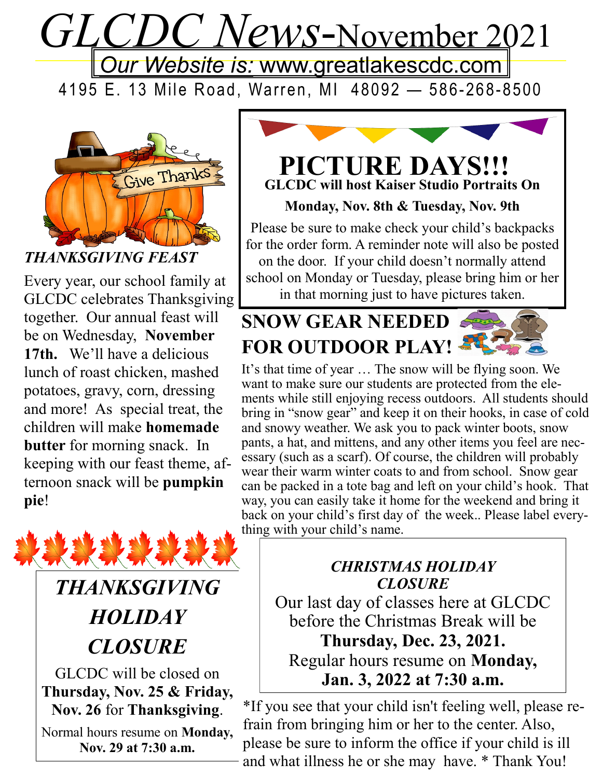*GLCDC News*-November 2021 *Our Website is:* www.greatlakescdc.com

4195 E. 13 Mile Road, Warren, MI 48092 - 586-268-8500



*THANKSGIVING FEAST*

Every year, our school family at GLCDC celebrates Thanksgiving together. Our annual feast will be on Wednesday, **November 17th.** We'll have a delicious lunch of roast chicken, mashed potatoes, gravy, corn, dressing and more! As special treat, the children will make **homemade butter** for morning snack. In keeping with our feast theme, afternoon snack will be **pumpkin pie**!





### **GLCDC will host Kaiser Studio Portraits On PICTURE DAYS!!!**

**Monday, Nov. 8th & Tuesday, Nov. 9th** 

Please be sure to make check your child's backpacks for the order form. A reminder note will also be posted on the door. If your child doesn't normally attend school on Monday or Tuesday, please bring him or her in that morning just to have pictures taken.

## **SNOW GEAR NEEDED FOR OUTDOOR PLAY!**

It's that time of year … The snow will be flying soon. We want to make sure our students are protected from the elements while still enjoying recess outdoors. All students should bring in "snow gear" and keep it on their hooks, in case of cold and snowy weather. We ask you to pack winter boots, snow pants, a hat, and mittens, and any other items you feel are necessary (such as a scarf). Of course, the children will probably wear their warm winter coats to and from school. Snow gear can be packed in a tote bag and left on your child's hook. That way, you can easily take it home for the weekend and bring it back on your child's first day of the week.. Please label everything with your child's name.

#### *CHRISTMAS HOLIDAY CLOSURE*

Our last day of classes here at GLCDC before the Christmas Break will be **Thursday, Dec. 23, 2021.** Regular hours resume on **Monday, Jan. 3, 2022 at 7:30 a.m.**

\*If you see that your child isn't feeling well, please refrain from bringing him or her to the center. Also, please be sure to inform the office if your child is ill and what illness he or she may have. \* Thank You!